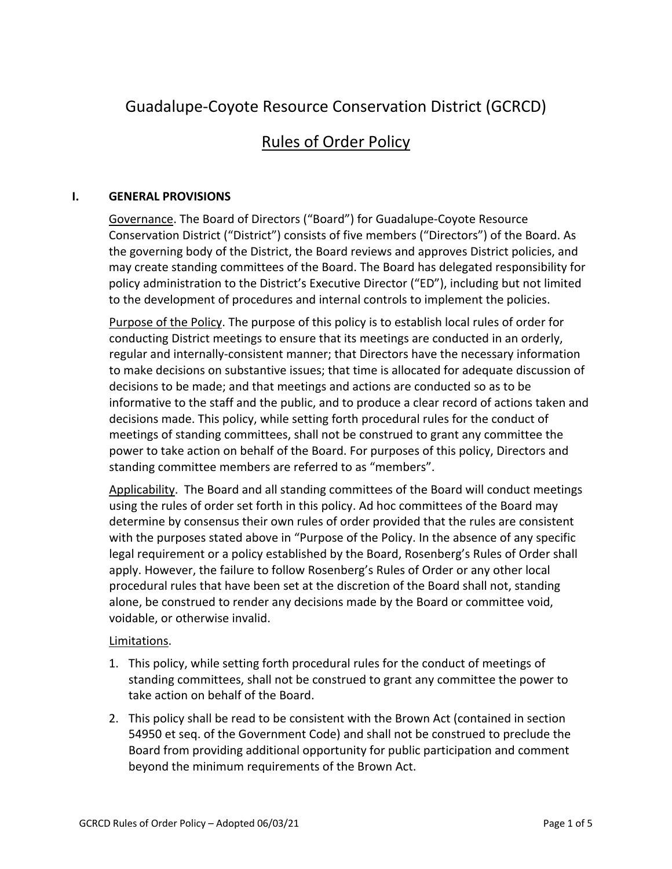# Guadalupe-Coyote Resource Conservation District (GCRCD)

## Rules of Order Policy

## **I. GENERAL PROVISIONS**

Governance. The Board of Directors ("Board") for Guadalupe-Coyote Resource Conservation District ("District") consists of five members ("Directors") of the Board. As the governing body of the District, the Board reviews and approves District policies, and may create standing committees of the Board. The Board has delegated responsibility for policy administration to the District's Executive Director ("ED"), including but not limited to the development of procedures and internal controls to implement the policies.

Purpose of the Policy. The purpose of this policy is to establish local rules of order for conducting District meetings to ensure that its meetings are conducted in an orderly, regular and internally-consistent manner; that Directors have the necessary information to make decisions on substantive issues; that time is allocated for adequate discussion of decisions to be made; and that meetings and actions are conducted so as to be informative to the staff and the public, and to produce a clear record of actions taken and decisions made. This policy, while setting forth procedural rules for the conduct of meetings of standing committees, shall not be construed to grant any committee the power to take action on behalf of the Board. For purposes of this policy, Directors and standing committee members are referred to as "members".

Applicability. The Board and all standing committees of the Board will conduct meetings using the rules of order set forth in this policy. Ad hoc committees of the Board may determine by consensus their own rules of order provided that the rules are consistent with the purposes stated above in "Purpose of the Policy. In the absence of any specific legal requirement or a policy established by the Board, Rosenberg's Rules of Order shall apply. However, the failure to follow Rosenberg's Rules of Order or any other local procedural rules that have been set at the discretion of the Board shall not, standing alone, be construed to render any decisions made by the Board or committee void, voidable, or otherwise invalid.

#### Limitations.

- 1. This policy, while setting forth procedural rules for the conduct of meetings of standing committees, shall not be construed to grant any committee the power to take action on behalf of the Board.
- 2. This policy shall be read to be consistent with the Brown Act (contained in section 54950 et seq. of the Government Code) and shall not be construed to preclude the Board from providing additional opportunity for public participation and comment beyond the minimum requirements of the Brown Act.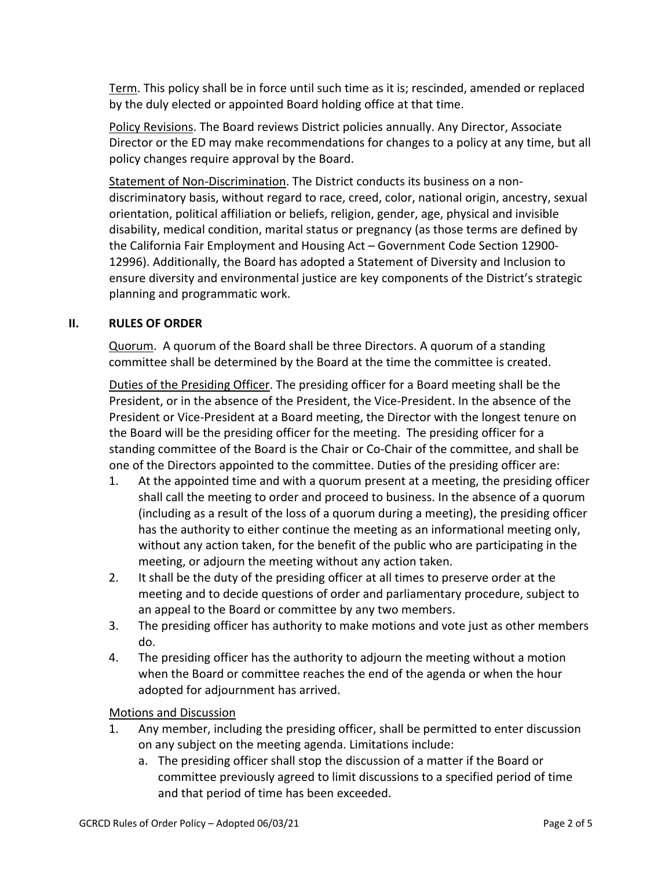Term. This policy shall be in force until such time as it is; rescinded, amended or replaced by the duly elected or appointed Board holding office at that time.

Policy Revisions. The Board reviews District policies annually. Any Director, Associate Director or the ED may make recommendations for changes to a policy at any time, but all policy changes require approval by the Board.

Statement of Non-Discrimination. The District conducts its business on a nondiscriminatory basis, without regard to race, creed, color, national origin, ancestry, sexual orientation, political affiliation or beliefs, religion, gender, age, physical and invisible disability, medical condition, marital status or pregnancy (as those terms are defined by the California Fair Employment and Housing Act – Government Code Section 12900- 12996). Additionally, the Board has adopted a Statement of Diversity and Inclusion to ensure diversity and environmental justice are key components of the District's strategic planning and programmatic work.

## **II. RULES OF ORDER**

Quorum. A quorum of the Board shall be three Directors. A quorum of a standing committee shall be determined by the Board at the time the committee is created.

Duties of the Presiding Officer. The presiding officer for a Board meeting shall be the President, or in the absence of the President, the Vice-President. In the absence of the President or Vice-President at a Board meeting, the Director with the longest tenure on the Board will be the presiding officer for the meeting. The presiding officer for a standing committee of the Board is the Chair or Co-Chair of the committee, and shall be one of the Directors appointed to the committee. Duties of the presiding officer are:

- 1. At the appointed time and with a quorum present at a meeting, the presiding officer shall call the meeting to order and proceed to business. In the absence of a quorum (including as a result of the loss of a quorum during a meeting), the presiding officer has the authority to either continue the meeting as an informational meeting only, without any action taken, for the benefit of the public who are participating in the meeting, or adjourn the meeting without any action taken.
- 2. It shall be the duty of the presiding officer at all times to preserve order at the meeting and to decide questions of order and parliamentary procedure, subject to an appeal to the Board or committee by any two members.
- 3. The presiding officer has authority to make motions and vote just as other members do.
- 4. The presiding officer has the authority to adjourn the meeting without a motion when the Board or committee reaches the end of the agenda or when the hour adopted for adjournment has arrived.

#### Motions and Discussion

- 1. Any member, including the presiding officer, shall be permitted to enter discussion on any subject on the meeting agenda. Limitations include:
	- a. The presiding officer shall stop the discussion of a matter if the Board or committee previously agreed to limit discussions to a specified period of time and that period of time has been exceeded.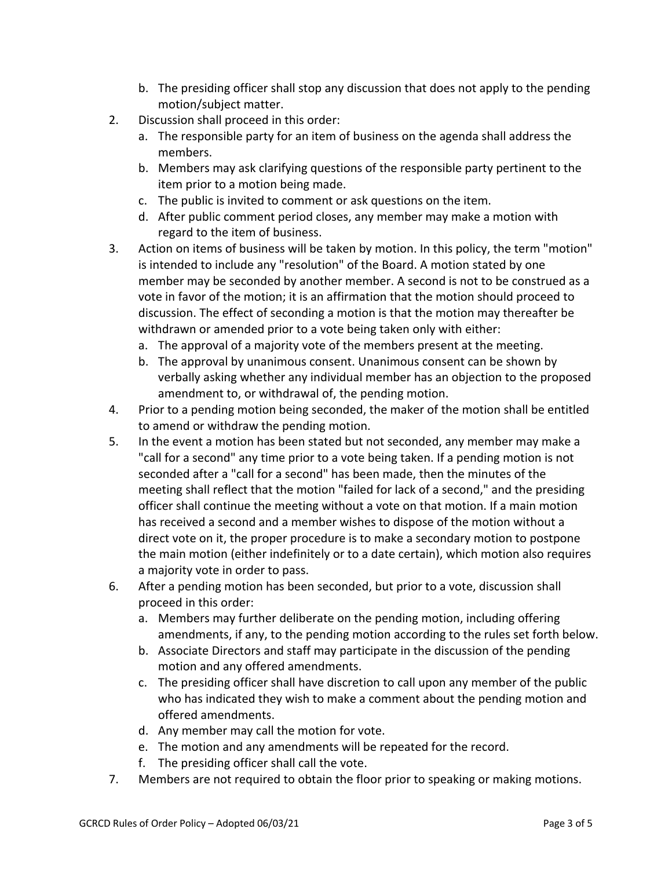- b. The presiding officer shall stop any discussion that does not apply to the pending motion/subject matter.
- 2. Discussion shall proceed in this order:
	- a. The responsible party for an item of business on the agenda shall address the members.
	- b. Members may ask clarifying questions of the responsible party pertinent to the item prior to a motion being made.
	- c. The public is invited to comment or ask questions on the item.
	- d. After public comment period closes, any member may make a motion with regard to the item of business.
- 3. Action on items of business will be taken by motion. In this policy, the term "motion" is intended to include any "resolution" of the Board. A motion stated by one member may be seconded by another member. A second is not to be construed as a vote in favor of the motion; it is an affirmation that the motion should proceed to discussion. The effect of seconding a motion is that the motion may thereafter be withdrawn or amended prior to a vote being taken only with either:
	- a. The approval of a majority vote of the members present at the meeting.
	- b. The approval by unanimous consent. Unanimous consent can be shown by verbally asking whether any individual member has an objection to the proposed amendment to, or withdrawal of, the pending motion.
- 4. Prior to a pending motion being seconded, the maker of the motion shall be entitled to amend or withdraw the pending motion.
- 5. In the event a motion has been stated but not seconded, any member may make a "call for a second" any time prior to a vote being taken. If a pending motion is not seconded after a "call for a second" has been made, then the minutes of the meeting shall reflect that the motion "failed for lack of a second," and the presiding officer shall continue the meeting without a vote on that motion. If a main motion has received a second and a member wishes to dispose of the motion without a direct vote on it, the proper procedure is to make a secondary motion to postpone the main motion (either indefinitely or to a date certain), which motion also requires a majority vote in order to pass.
- 6. After a pending motion has been seconded, but prior to a vote, discussion shall proceed in this order:
	- a. Members may further deliberate on the pending motion, including offering amendments, if any, to the pending motion according to the rules set forth below.
	- b. Associate Directors and staff may participate in the discussion of the pending motion and any offered amendments.
	- c. The presiding officer shall have discretion to call upon any member of the public who has indicated they wish to make a comment about the pending motion and offered amendments.
	- d. Any member may call the motion for vote.
	- e. The motion and any amendments will be repeated for the record.
	- f. The presiding officer shall call the vote.
- 7. Members are not required to obtain the floor prior to speaking or making motions.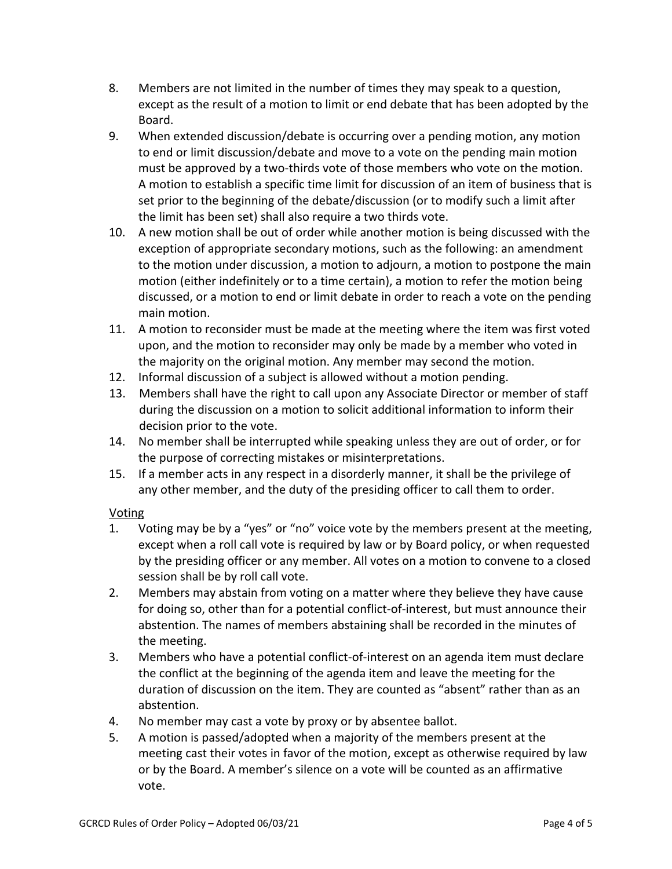- 8. Members are not limited in the number of times they may speak to a question, except as the result of a motion to limit or end debate that has been adopted by the Board.
- 9. When extended discussion/debate is occurring over a pending motion, any motion to end or limit discussion/debate and move to a vote on the pending main motion must be approved by a two-thirds vote of those members who vote on the motion. A motion to establish a specific time limit for discussion of an item of business that is set prior to the beginning of the debate/discussion (or to modify such a limit after the limit has been set) shall also require a two thirds vote.
- 10. A new motion shall be out of order while another motion is being discussed with the exception of appropriate secondary motions, such as the following: an amendment to the motion under discussion, a motion to adjourn, a motion to postpone the main motion (either indefinitely or to a time certain), a motion to refer the motion being discussed, or a motion to end or limit debate in order to reach a vote on the pending main motion.
- 11. A motion to reconsider must be made at the meeting where the item was first voted upon, and the motion to reconsider may only be made by a member who voted in the majority on the original motion. Any member may second the motion.
- 12. Informal discussion of a subject is allowed without a motion pending.
- 13. Members shall have the right to call upon any Associate Director or member of staff during the discussion on a motion to solicit additional information to inform their decision prior to the vote.
- 14. No member shall be interrupted while speaking unless they are out of order, or for the purpose of correcting mistakes or misinterpretations.
- 15. If a member acts in any respect in a disorderly manner, it shall be the privilege of any other member, and the duty of the presiding officer to call them to order.

## Voting

- 1. Voting may be by a "yes" or "no" voice vote by the members present at the meeting, except when a roll call vote is required by law or by Board policy, or when requested by the presiding officer or any member. All votes on a motion to convene to a closed session shall be by roll call vote.
- 2. Members may abstain from voting on a matter where they believe they have cause for doing so, other than for a potential conflict-of-interest, but must announce their abstention. The names of members abstaining shall be recorded in the minutes of the meeting.
- 3. Members who have a potential conflict-of-interest on an agenda item must declare the conflict at the beginning of the agenda item and leave the meeting for the duration of discussion on the item. They are counted as "absent" rather than as an abstention.
- 4. No member may cast a vote by proxy or by absentee ballot.
- 5. A motion is passed/adopted when a majority of the members present at the meeting cast their votes in favor of the motion, except as otherwise required by law or by the Board. A member's silence on a vote will be counted as an affirmative vote.